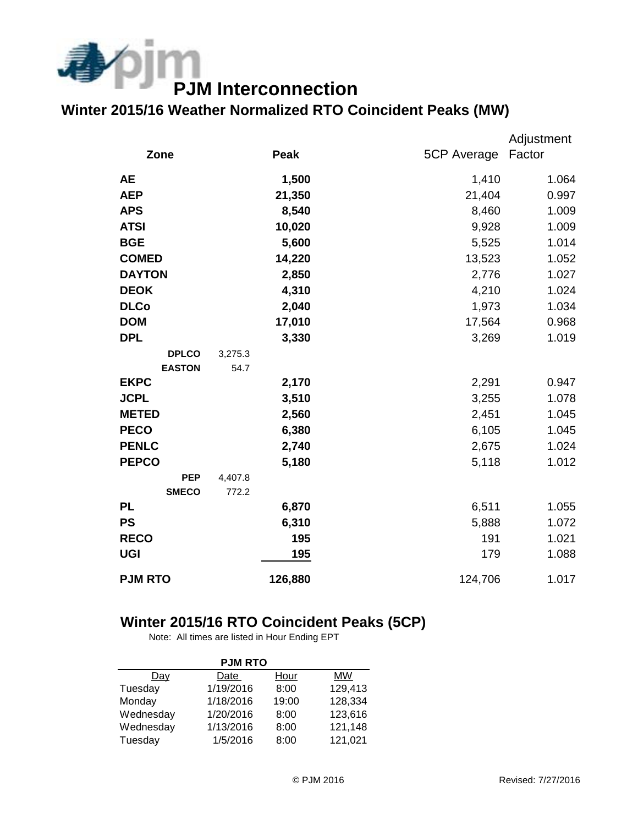

## **Winter 2015/16 Weather Normalized RTO Coincident Peaks (MW)**

|                |         |             | Adjustment |
|----------------|---------|-------------|------------|
| Zone           | Peak    | 5CP Average | Factor     |
| <b>AE</b>      | 1,500   | 1,410       | 1.064      |
| <b>AEP</b>     | 21,350  | 21,404      | 0.997      |
| <b>APS</b>     | 8,540   | 8,460       | 1.009      |
| <b>ATSI</b>    | 10,020  | 9,928       | 1.009      |
| <b>BGE</b>     | 5,600   | 5,525       | 1.014      |
| <b>COMED</b>   | 14,220  | 13,523      | 1.052      |
| <b>DAYTON</b>  | 2,850   | 2,776       | 1.027      |
| <b>DEOK</b>    | 4,310   | 4,210       | 1.024      |
| <b>DLCo</b>    | 2,040   | 1,973       | 1.034      |
| <b>DOM</b>     | 17,010  | 17,564      | 0.968      |
| <b>DPL</b>     | 3,330   | 3,269       | 1.019      |
| <b>DPLCO</b>   | 3,275.3 |             |            |
| <b>EASTON</b>  | 54.7    |             |            |
| <b>EKPC</b>    | 2,170   | 2,291       | 0.947      |
| <b>JCPL</b>    | 3,510   | 3,255       | 1.078      |
| <b>METED</b>   | 2,560   | 2,451       | 1.045      |
| <b>PECO</b>    | 6,380   | 6,105       | 1.045      |
| <b>PENLC</b>   | 2,740   | 2,675       | 1.024      |
| <b>PEPCO</b>   | 5,180   | 5,118       | 1.012      |
| <b>PEP</b>     | 4,407.8 |             |            |
| <b>SMECO</b>   | 772.2   |             |            |
| <b>PL</b>      | 6,870   | 6,511       | 1.055      |
| <b>PS</b>      | 6,310   | 5,888       | 1.072      |
| <b>RECO</b>    | 195     | 191         | 1.021      |
| <b>UGI</b>     | 195     | 179         | 1.088      |
| <b>PJM RTO</b> | 126,880 | 124,706     | 1.017      |

## **Winter 2015/16 RTO Coincident Peaks (5CP)**

Note: All times are listed in Hour Ending EPT

| <b>PJM RTO</b> |           |       |         |  |  |  |  |
|----------------|-----------|-------|---------|--|--|--|--|
| Dav            | Date      | Hour  | MW      |  |  |  |  |
| Tuesday        | 1/19/2016 | 8:00  | 129,413 |  |  |  |  |
| Monday         | 1/18/2016 | 19:00 | 128,334 |  |  |  |  |
| Wednesday      | 1/20/2016 | 8:00  | 123,616 |  |  |  |  |
| Wednesday      | 1/13/2016 | 8:00  | 121,148 |  |  |  |  |
| Tuesday        | 1/5/2016  | 8:00  | 121,021 |  |  |  |  |